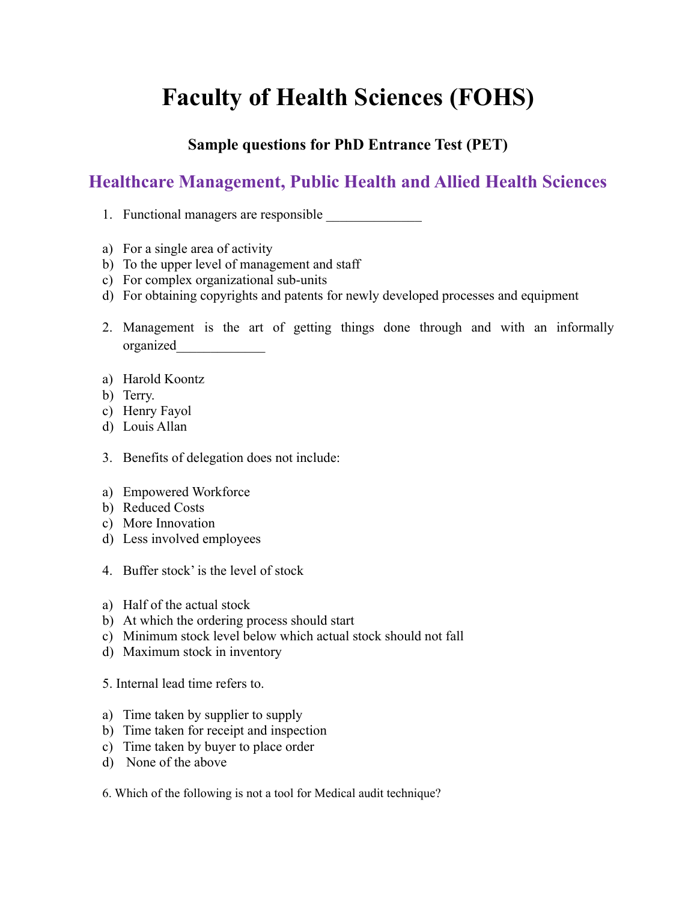## **Faculty of Health Sciences (FOHS)**

## **Sample questions for PhD Entrance Test (PET)**

## **Healthcare Management, Public Health and Allied Health Sciences**

- 1. Functional managers are responsible
- a) For a single area of activity
- b) To the upper level of management and staff
- c) For complex organizational sub-units
- d) For obtaining copyrights and patents for newly developed processes and equipment
- 2. Management is the art of getting things done through and with an informally organized\_\_\_\_\_\_\_\_\_\_\_\_\_
- a) Harold Koontz
- b) Terry.
- c) Henry Fayol
- d) Louis Allan
- 3. Benefits of delegation does not include:
- a) Empowered Workforce
- b) Reduced Costs
- c) More Innovation
- d) Less involved employees
- 4. Buffer stock' is the level of stock
- a) Half of the actual stock
- b) At which the ordering process should start
- c) Minimum stock level below which actual stock should not fall
- d) Maximum stock in inventory
- 5. Internal lead time refers to.
- a) Time taken by supplier to supply
- b) Time taken for receipt and inspection
- c) Time taken by buyer to place order
- d) None of the above
- 6. Which of the following is not a tool for Medical audit technique?